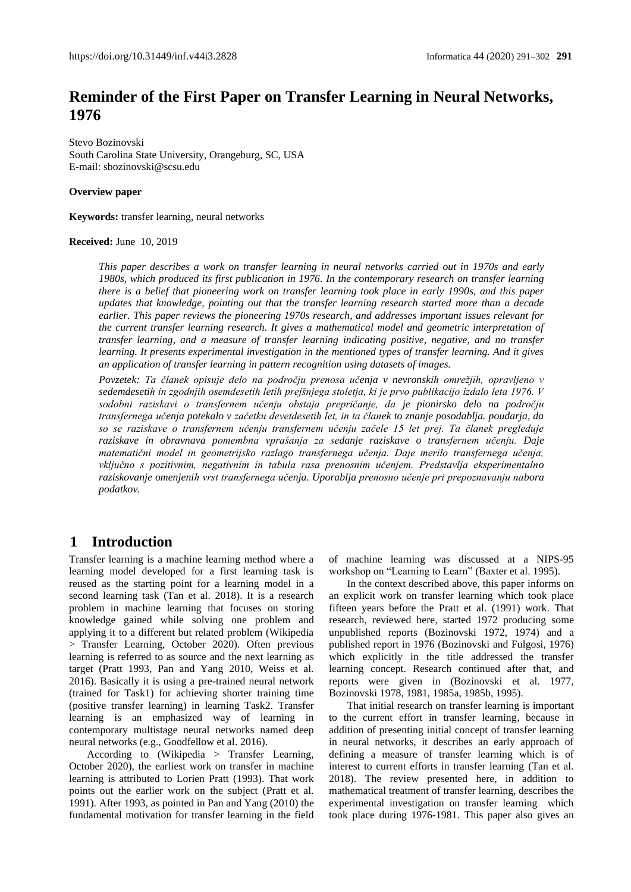# **Reminder of the First Paper on Transfer Learning in Neural Networks, 1976**

Stevo Bozinovski South Carolina State University, Orangeburg, SC, USA E-mail: sbozinovski@scsu.edu

**Overview paper**

**Keywords:** transfer learning, neural networks

#### **Received:** June 10, 2019

*This paper describes a work on transfer learning in neural networks carried out in 1970s and early 1980s, which produced its first publication in 1976. In the contemporary research on transfer learning there is a belief that pioneering work on transfer learning took place in early 1990s, and this paper updates that knowledge, pointing out that the transfer learning research started more than a decade earlier. This paper reviews the pioneering 1970s research, and addresses important issues relevant for the current transfer learning research. It gives a mathematical model and geometric interpretation of transfer learning, and a measure of transfer learning indicating positive, negative, and no transfer learning. It presents experimental investigation in the mentioned types of transfer learning. And it gives an application of transfer learning in pattern recognition using datasets of images.* 

*Povzetek: Ta članek opisuje delo na področju prenosa učenja v nevronskih omrežjih, opravljeno v sedemdesetih in zgodnjih osemdesetih letih prejšnjega stoletja, ki je prvo publikacijo izdalo leta 1976. V sodobni raziskavi o transfernem učenju obstaja prepričanje, da je pionirsko delo na področju transfernega učenja potekalo v začetku devetdesetih let, in ta članek to znanje posodablja. poudarja, da so se raziskave o transfernem učenju transfernem učenju začele 15 let prej. Ta članek pregleduje raziskave in obravnava pomembna vprašanja za sedanje raziskave o transfernem učenju. Daje matematični model in geometrijsko razlago transfernega učenja. Daje merilo transfernega učenja, vključno s pozitivnim, negativnim in tabula rasa prenosnim učenjem. Predstavlja eksperimentalno raziskovanje omenjenih vrst transfernega učenja. Uporablja prenosno učenje pri prepoznavanju nabora podatkov.*

### **1 Introduction**

Transfer learning is a machine learning method where a learning model developed for a first learning task is reused as the starting point for a learning model in a second learning task (Tan et al. 2018). It is a research problem in machine learning that focuses on storing knowledge gained while solving one problem and applying it to a different but related problem (Wikipedia > Transfer Learning, October 2020). Often previous learning is referred to as source and the next learning as target (Pratt 1993, Pan and Yang 2010, Weiss et al. 2016). Basically it is using a pre-trained neural network (trained for Task1) for achieving shorter training time (positive transfer learning) in learning Task2. Transfer learning is an emphasized way of learning in contemporary multistage neural networks named deep neural networks (e.g., Goodfellow et al. 2016).

According to (Wikipedia > Transfer Learning, October 2020), the earliest work on transfer in machine learning is attributed to Lorien Pratt (1993). That work points out the earlier work on the subject (Pratt et al. 1991). After 1993, as pointed in Pan and Yang (2010) the fundamental motivation for transfer learning in the field of machine learning was discussed at a NIPS-95 workshop on "Learning to Learn" (Baxter et al. 1995).

In the context described above, this paper informs on an explicit work on transfer learning which took place fifteen years before the Pratt et al. (1991) work. That research, reviewed here, started 1972 producing some unpublished reports (Bozinovski 1972, 1974) and a published report in 1976 (Bozinovski and Fulgosi, 1976) which explicitly in the title addressed the transfer learning concept. Research continued after that, and reports were given in (Bozinovski et al. 1977, Bozinovski 1978, 1981, 1985a, 1985b, 1995).

That initial research on transfer learning is important to the current effort in transfer learning, because in addition of presenting initial concept of transfer learning in neural networks, it describes an early approach of defining a measure of transfer learning which is of interest to current efforts in transfer learning (Tan et al. 2018). The review presented here, in addition to mathematical treatment of transfer learning, describes the experimental investigation on transfer learning which took place during 1976-1981. This paper also gives an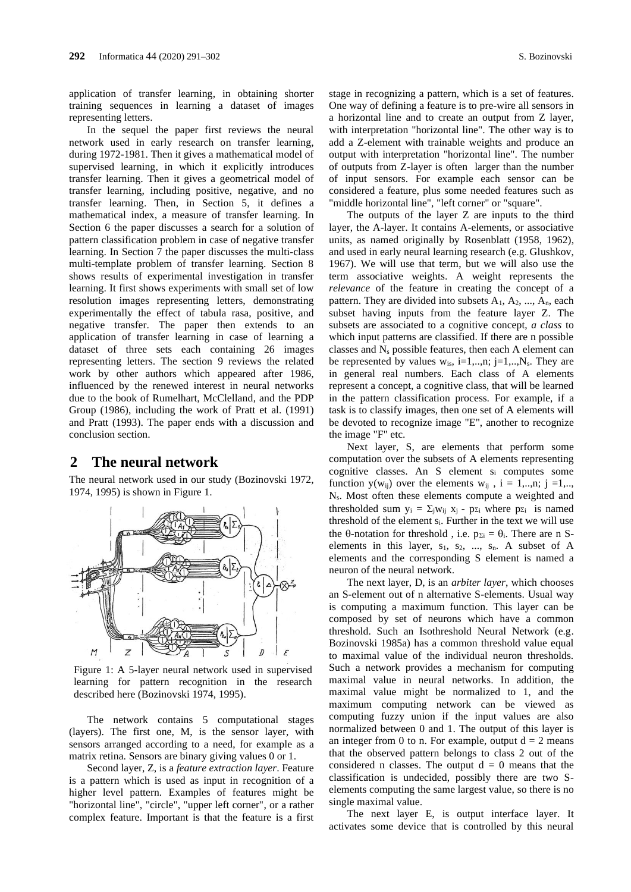application of transfer learning, in obtaining shorter training sequences in learning a dataset of images representing letters.

In the sequel the paper first reviews the neural network used in early research on transfer learning, during 1972-1981. Then it gives a mathematical model of supervised learning, in which it explicitly introduces transfer learning. Then it gives a geometrical model of transfer learning, including positive, negative, and no transfer learning. Then, in Section 5, it defines a mathematical index, a measure of transfer learning. In Section 6 the paper discusses a search for a solution of pattern classification problem in case of negative transfer learning. In Section 7 the paper discusses the multi-class multi-template problem of transfer learning. Section 8 shows results of experimental investigation in transfer learning. It first shows experiments with small set of low resolution images representing letters, demonstrating experimentally the effect of tabula rasa, positive, and negative transfer. The paper then extends to an application of transfer learning in case of learning a dataset of three sets each containing 26 images representing letters. The section 9 reviews the related work by other authors which appeared after 1986, influenced by the renewed interest in neural networks due to the book of Rumelhart, McClelland, and the PDP Group (1986), including the work of Pratt et al. (1991) and Pratt (1993). The paper ends with a discussion and conclusion section.

#### **2 The neural network**

The neural network used in our study (Bozinovski 1972, 1974, 1995) is shown in Figure 1.



Figure 1: A 5-layer neural network used in supervised learning for pattern recognition in the research described here (Bozinovski 1974, 1995).

The network contains 5 computational stages (layers). The first one, M, is the sensor layer, with sensors arranged according to a need, for example as a matrix retina. Sensors are binary giving values 0 or 1.

Second layer, Z, is a *feature extraction layer*. Feature is a pattern which is used as input in recognition of a higher level pattern. Examples of features might be "horizontal line", "circle", "upper left corner", or a rather complex feature. Important is that the feature is a first

stage in recognizing a pattern, which is a set of features. One way of defining a feature is to pre-wire all sensors in a horizontal line and to create an output from Z layer, with interpretation "horizontal line". The other way is to add a Z-element with trainable weights and produce an output with interpretation "horizontal line". The number of outputs from Z-layer is often larger than the number of input sensors. For example each sensor can be considered a feature, plus some needed features such as "middle horizontal line", "left corner" or "square".

The outputs of the layer Z are inputs to the third layer, the A-layer. It contains A-elements, or associative units, as named originally by Rosenblatt (1958, 1962), and used in early neural learning research (e.g. Glushkov, 1967). We will use that term, but we will also use the term associative weights. A weight represents the *relevance* of the feature in creating the concept of a pattern. They are divided into subsets  $A_1, A_2, \ldots, A_n$ , each subset having inputs from the feature layer Z. The subsets are associated to a cognitive concept, *a class* to which input patterns are classified. If there are n possible classes and  $N_s$  possible features, then each A element can be represented by values  $w_{is}$ , i=1,..,n; j=1,..,N<sub>s</sub>. They are in general real numbers. Each class of A elements represent a concept, a cognitive class, that will be learned in the pattern classification process. For example, if a task is to classify images, then one set of A elements will be devoted to recognize image "E", another to recognize the image "F" etc.

Next layer, S, are elements that perform some computation over the subsets of A elements representing cognitive classes. An S element s<sup>i</sup> computes some function  $y(w_{ii})$  over the elements  $w_{ii}$ ,  $i = 1,...,n$ ;  $j = 1,...$ Ns. Most often these elements compute a weighted and thresholded sum  $y_i = \sum_j w_{ij} x_j - p_{\Sigma i}$  where  $p_{\Sigma i}$  is named threshold of the element si. Further in the text we will use the  $\theta$ -notation for threshold, i.e.  $p_{\Sigma i} = \theta_i$ . There are n Selements in this layer,  $s_1$ ,  $s_2$ , ...,  $s_n$ . A subset of A elements and the corresponding S element is named a neuron of the neural network.

The next layer, D, is an *arbiter layer*, which chooses an S-element out of n alternative S-elements. Usual way is computing a maximum function. This layer can be composed by set of neurons which have a common threshold. Such an Isothreshold Neural Network (e.g. Bozinovski 1985a) has a common threshold value equal to maximal value of the individual neuron thresholds. Such a network provides a mechanism for computing maximal value in neural networks. In addition, the maximal value might be normalized to 1, and the maximum computing network can be viewed as computing fuzzy union if the input values are also normalized between 0 and 1. The output of this layer is an integer from 0 to n. For example, output  $d = 2$  means that the observed pattern belongs to class 2 out of the considered n classes. The output  $d = 0$  means that the classification is undecided, possibly there are two Selements computing the same largest value, so there is no single maximal value.

The next layer E, is output interface layer. It activates some device that is controlled by this neural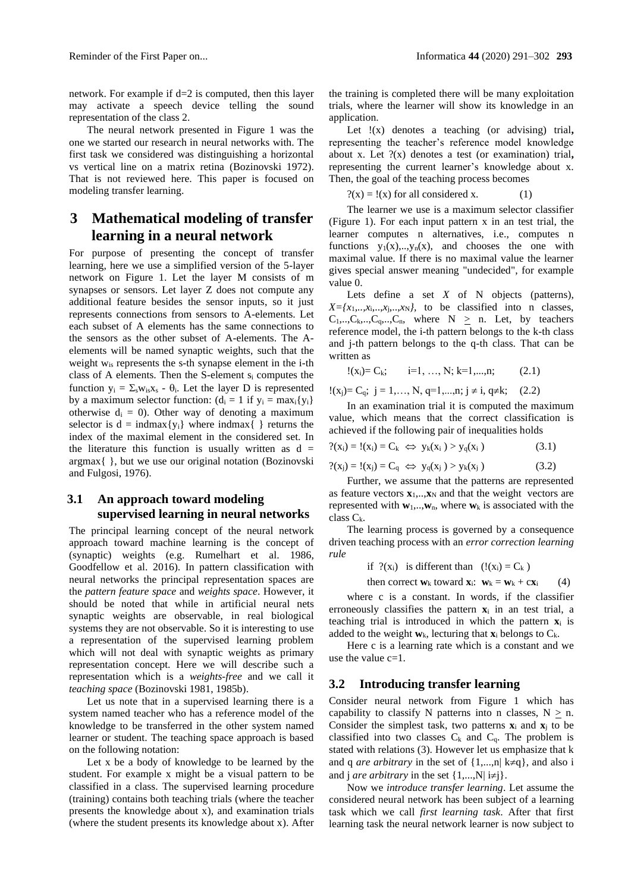network. For example if d=2 is computed, then this layer may activate a speech device telling the sound representation of the class 2.

The neural network presented in Figure 1 was the one we started our research in neural networks with. The first task we considered was distinguishing a horizontal vs vertical line on a matrix retina (Bozinovski 1972). That is not reviewed here. This paper is focused on modeling transfer learning.

# **3 Mathematical modeling of transfer learning in a neural network**

For purpose of presenting the concept of transfer learning, here we use a simplified version of the 5-layer network on Figure 1. Let the layer M consists of m synapses or sensors. Let layer Z does not compute any additional feature besides the sensor inputs, so it just represents connections from sensors to A-elements. Let each subset of A elements has the same connections to the sensors as the other subset of A-elements. The Aelements will be named synaptic weights, such that the weight w<sub>is</sub> represents the s-th synapse element in the i-th class of A elements. Then the S-element s<sup>i</sup> computes the function  $y_i = \sum_s w_{is}x_s - \theta_i$ . Let the layer D is represented by a maximum selector function:  $(d_i = 1$  if  $y_i = max_i \{y_i\})$ otherwise  $d_i = 0$ ). Other way of denoting a maximum selector is  $d = \text{indmax}\{y_i\}$  where indmax $\{\}$  returns the index of the maximal element in the considered set. In the literature this function is usually written as  $d =$ argmax{ }, but we use our original notation (Bozinovski and Fulgosi, 1976).

### **3.1 An approach toward modeling supervised learning in neural networks**

The principal learning concept of the neural network approach toward machine learning is the concept of (synaptic) weights (e.g. Rumelhart et al. 1986, Goodfellow et al. 2016). In pattern classification with neural networks the principal representation spaces are the *pattern feature space* and *weights space*. However, it should be noted that while in artificial neural nets synaptic weights are observable, in real biological systems they are not observable. So it is interesting to use a representation of the supervised learning problem which will not deal with synaptic weights as primary representation concept. Here we will describe such a representation which is a *weights-free* and we call it *teaching space* (Bozinovski 1981, 1985b).

Let us note that in a supervised learning there is a system named teacher who has a reference model of the knowledge to be transferred in the other system named learner or student. The teaching space approach is based on the following notation:

Let x be a body of knowledge to be learned by the student. For example x might be a visual pattern to be classified in a class. The supervised learning procedure (training) contains both teaching trials (where the teacher presents the knowledge about x), and examination trials (where the student presents its knowledge about x). After the training is completed there will be many exploitation trials, where the learner will show its knowledge in an application.

Let !(x) denotes a teaching (or advising) trial**,** representing the teacher's reference model knowledge about x. Let ?(x) denotes a test (or examination) trial**,** representing the current learner's knowledge about x. Then, the goal of the teaching process becomes

$$
?(x) = !(x) for all considered x.
$$
 (1)

The learner we use is a maximum selector classifier (Figure 1). For each input pattern x in an test trial, the learner computes n alternatives, i.e., computes n functions  $y_1(x),...,y_n(x)$ , and chooses the one with maximal value. If there is no maximal value the learner gives special answer meaning "undecided", for example value 0.

Lets define a set *X* of N objects (patterns),  $X = \{x_1, \ldots, x_i, \ldots, x_N\}$ , to be classified into n classes,  $C_1,...,C_k,...,C_q,...,C_n$ , where  $N \geq n$ . Let, by teachers reference model, the i-th pattern belongs to the k-th class and j-th pattern belongs to the q-th class. That can be written as

$$
!(x_i)=C_k;
$$
  $i=1, ..., N; k=1,...,n;$  (2.1)

 $!(x_j)=C_q; j=1,..., N, q=1,...,n; j\neq i, q\neq k; (2.2)$ 

In an examination trial it is computed the maximum value, which means that the correct classification is achieved if the following pair of inequalities holds

$$
?(x_i) = !(x_i) = C_k \iff y_k(x_i) > y_q(x_i)
$$
\n(3.1)

$$
?(x_j) = !(x_j) = C_q \iff y_q(x_j) > y_k(x_j)
$$
\n(3.2)

Further, we assume that the patterns are represented as feature vectors  $\mathbf{x}_1, \dots, \mathbf{x}_N$  and that the weight vectors are represented with  $\mathbf{w}_1, \dots, \mathbf{w}_n$ , where  $\mathbf{w}_k$  is associated with the class Ck.

The learning process is governed by a consequence driven teaching process with an *error correction learning rule* 

if  $?(x_i)$  is different than  $(!(x_i) = C_k)$ 

then correct  $\mathbf{w}_k$  toward  $\mathbf{x}_i$ :  $\mathbf{w}_k = \mathbf{w}_k + c\mathbf{x}_i$  (4)

where c is a constant. In words, if the classifier erroneously classifies the pattern **x**<sup>i</sup> in an test trial, a teaching trial is introduced in which the pattern **x**<sup>i</sup> is added to the weight  $w_k$ , lecturing that  $\mathbf{x}_i$  belongs to  $C_k$ .

Here c is a learning rate which is a constant and we use the value  $c=1$ .

#### **3.2 Introducing transfer learning**

Consider neural network from Figure 1 which has capability to classify N patterns into n classes,  $N \geq n$ . Consider the simplest task, two patterns **x**<sup>i</sup> and **x**<sup>j</sup> to be classified into two classes  $C_k$  and  $C_q$ . The problem is stated with relations (3). However let us emphasize that k and q *are arbitrary* in the set of  $\{1,...,n| k \neq q\}$ , and also i and j *are arbitrary* in the set  $\{1,...,N|\ i\neq j\}$ .

Now we *introduce transfer learning*. Let assume the considered neural network has been subject of a learning task which we call *first learning task*. After that first learning task the neural network learner is now subject to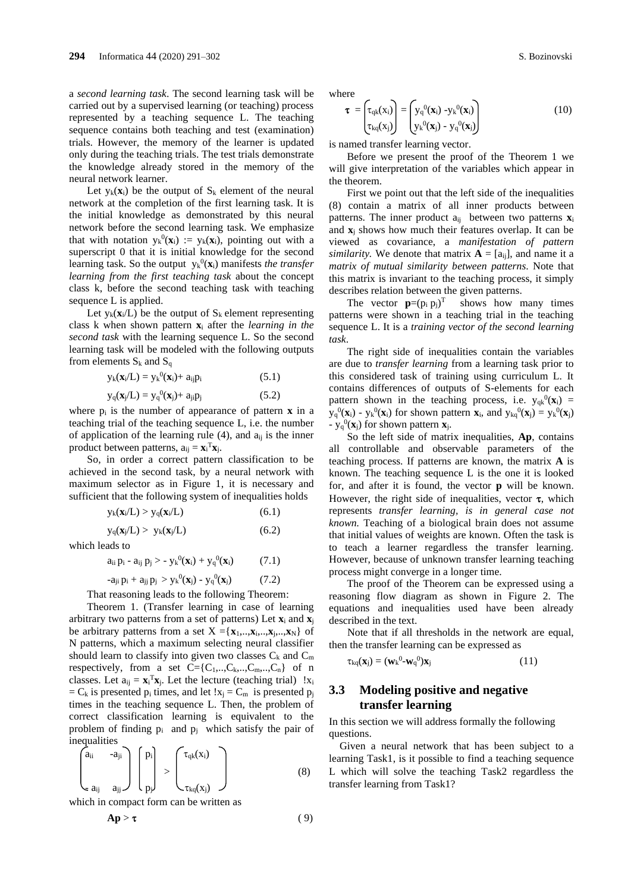a *second learning task*. The second learning task will be carried out by a supervised learning (or teaching) process represented by a teaching sequence L. The teaching sequence contains both teaching and test (examination) trials. However, the memory of the learner is updated only during the teaching trials. The test trials demonstrate the knowledge already stored in the memory of the neural network learner.

Let  $y_k(x_i)$  be the output of  $S_k$  element of the neural network at the completion of the first learning task. It is the initial knowledge as demonstrated by this neural network before the second learning task. We emphasize that with notation  $y_k^0(x_i) := y_k(x_i)$ , pointing out with a superscript 0 that it is initial knowledge for the second learning task. So the output  $y_k^0(x_i)$  manifests *the transfer learning from the first teaching task* about the concept class k, before the second teaching task with teaching sequence L is applied.

Let  $y_k(x_i/L)$  be the output of  $S_k$  element representing class k when shown pattern **x**<sup>i</sup> after the *learning in the second task* with the learning sequence L. So the second learning task will be modeled with the following outputs from elements  $S_k$  and  $S_q$ 

$$
y_k(\mathbf{x}_i/L) = y_k^{0}(\mathbf{x}_i) + a_{ij}p_i
$$
 (5.1)

$$
y_q(\mathbf{x}_j/L) = y_q^{0}(\mathbf{x}_j) + a_{ji}p_j \tag{5.2}
$$

where  $p_i$  is the number of appearance of pattern  $\bf{x}$  in a teaching trial of the teaching sequence L, i.e. the number of application of the learning rule  $(4)$ , and  $a_{ii}$  is the inner product between patterns,  $a_{ij} = \mathbf{x}_i^T \mathbf{x}_j$ .

So, in order a correct pattern classification to be achieved in the second task, by a neural network with maximum selector as in Figure 1, it is necessary and sufficient that the following system of inequalities holds

$$
y_k(\mathbf{x}_i/L) > y_q(\mathbf{x}_i/L) \tag{6.1}
$$

 $y_q(x_j/L) > y_k(x_j/L)$  (6.2)

which leads to

$$
a_{ii} p_i - a_{ij} p_j > - y_k^0(\mathbf{x}_i) + y_q^0(\mathbf{x}_i)
$$
 (7.1)

$$
-a_{ji} p_i + a_{jj} p_j > y_k^0(\mathbf{x}_j) - y_q^0(\mathbf{x}_j)
$$
 (7.2)

That reasoning leads to the following Theorem:

Theorem 1. (Transfer learning in case of learning arbitrary two patterns from a set of patterns) Let **x**<sup>i</sup> and **x**<sup>j</sup> be arbitrary patterns from a set  $X = \{x_1, \ldots, x_i, \ldots, x_N\}$  of N patterns, which a maximum selecting neural classifier should learn to classify into given two classes  $C_k$  and  $C_m$ respectively, from a set  $C = \{C_1, \ldots, C_k, \ldots, C_m, \ldots, C_n\}$  of n classes. Let  $a_{ij} = \mathbf{x}_i^T \mathbf{x}_i$ . Let the lecture (teaching trial) ! $x_i$  $= C_k$  is presented  $p_i$  times, and let  $!x_i = C_m$  is presented  $p_i$ times in the teaching sequence L. Then, the problem of correct classification learning is equivalent to the problem of finding  $p_i$  and  $p_j$  which satisfy the pair of inequalities

$$
\begin{pmatrix} a_{ii} & -a_{ji} \\ a_{ij} & a_{jj} \end{pmatrix} \begin{pmatrix} p_i \\ p_j \end{pmatrix} > \begin{pmatrix} \tau_{qk}(x_i) \\ \tau_{kq}(x_j) \end{pmatrix}
$$
 (8)

which in compact form can be written as

$$
Ap > \tau \tag{9}
$$

where

$$
\boldsymbol{\tau} = \begin{pmatrix} \tau_{qk}(x_i) \\ \tau_{kq}(x_j) \end{pmatrix} = \begin{pmatrix} y_q^0(\mathbf{x}_i) - y_k^0(\mathbf{x}_i) \\ y_k^0(\mathbf{x}_j) - y_q^0(\mathbf{x}_j) \end{pmatrix}
$$
(10)

is named transfer learning vector.

Before we present the proof of the Theorem 1 we will give interpretation of the variables which appear in the theorem.

First we point out that the left side of the inequalities (8) contain a matrix of all inner products between patterns. The inner product  $a_{ii}$  between two patterns  $\mathbf{x}_i$ and  $\mathbf{x}_i$  shows how much their features overlap. It can be viewed as covariance, a *manifestation of pattern similarity.* We denote that matrix  $\mathbf{A} = [a_{ii}]$ , and name it a *matrix of mutual similarity between patterns*. Note that this matrix is invariant to the teaching process, it simply describes relation between the given patterns.

The vector  $\mathbf{p}=(p_i p_j)^T$  shows how many times patterns were shown in a teaching trial in the teaching sequence L. It is a *training vector of the second learning task*.

The right side of inequalities contain the variables are due to *transfer learning* from a learning task prior to this considered task of training using curriculum L. It contains differences of outputs of S-elements for each pattern shown in the teaching process, i.e.  $y_{qk}^{0}$ ( $\mathbf{x}_i$ ) =  $y_q^0(\mathbf{x}_i) - y_k^0(\mathbf{x}_i)$  for shown pattern  $\mathbf{x}_i$ , and  $y_{kq}^0(\mathbf{x}_j) = y_k^0(\mathbf{x}_j)$ -  $y_q^0(\mathbf{x}_j)$  for shown pattern  $\mathbf{x}_j$ .

So the left side of matrix inequalities, **Ap**, contains all controllable and observable parameters of the teaching process. If patterns are known, the matrix **A** is known. The teaching sequence L is the one it is looked for, and after it is found, the vector **p** will be known. However, the right side of inequalities, vector  $\tau$ , which represents *transfer learning, is in general case not known.* Teaching of a biological brain does not assume that initial values of weights are known. Often the task is to teach a learner regardless the transfer learning. However, because of unknown transfer learning teaching process might converge in a longer time.

The proof of the Theorem can be expressed using a reasoning flow diagram as shown in Figure 2. The equations and inequalities used have been already described in the text.

Note that if all thresholds in the network are equal, then the transfer learning can be expressed as

$$
\tau_{kq}(\mathbf{x}_j) = (\mathbf{w}_k^0 - \mathbf{w}_q^0) \mathbf{x}_j \tag{11}
$$

### **3.3 Modeling positive and negative transfer learning**

In this section we will address formally the following questions.

Given a neural network that has been subject to a learning Task1, is it possible to find a teaching sequence L which will solve the teaching Task2 regardless the transfer learning from Task1?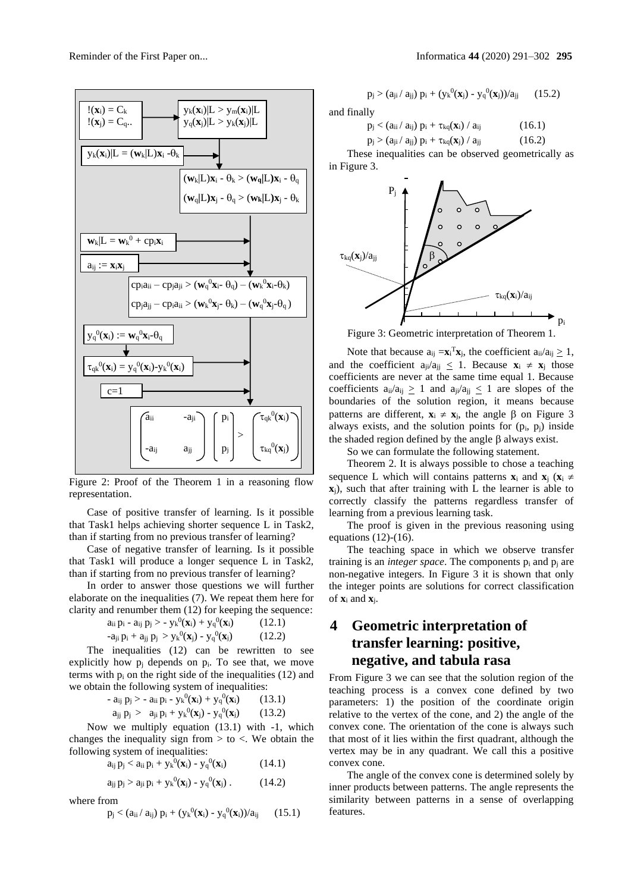

Figure 2: Proof of the Theorem 1 in a reasoning flow representation.

Case of positive transfer of learning. Is it possible that Task1 helps achieving shorter sequence L in Task2, than if starting from no previous transfer of learning?

Case of negative transfer of learning. Is it possible that Task1 will produce a longer sequence L in Task2, than if starting from no previous transfer of learning?

In order to answer those questions we will further elaborate on the inequalities (7). We repeat them here for clarity and renumber them (12) for keeping the sequence:

$$
a_{ii} p_i - a_{ij} p_j > -y_k^0(\mathbf{x}_i) + y_q^0(\mathbf{x}_i) \tag{12.1}
$$
\n
$$
-a_{ji} p_i + a_{jj} p_j > y_k^0(\mathbf{x}_j) - y_q^0(\mathbf{x}_j) \tag{12.2}
$$

The inequalities (12) can be rewritten to see explicitly how  $p_i$  depends on  $p_i$ . To see that, we move terms with  $p_i$  on the right side of the inequalities (12) and we obtain the following system of inequalities:

- 
$$
a_{ij} p_j
$$
 > -  $a_{ii} p_i$  -  $y_k^0(\mathbf{x}_i) + y_q^0(\mathbf{x}_i)$  (13.1)  
\n $a_{ij} p_j$  >  $a_{ji} p_i + y_k^0(\mathbf{x}_j) - y_q^0(\mathbf{x}_i)$  (13.2)

Now we multiply equation (13.1) with -1, which changes the inequality sign from  $>$  to  $<$ . We obtain the following system of inequalities:

$$
a_{ij} p_j < a_{ii} p_i + y_k^0(\mathbf{x}_i) - y_q^0(\mathbf{x}_i)
$$
 (14.1)

$$
a_{jj} p_j > a_{ji} p_i + y_k^0(\mathbf{x}_j) - y_q^0(\mathbf{x}_j) . \qquad (14.2)
$$

where from

$$
p_j < (a_{ii}/ a_{ij}) p_i + (y_k{}^0(\mathbf{x}_i) - y_q{}^0(\mathbf{x}_i))/a_{ij} \qquad (15.1)
$$

$$
p_j > (a_{ji}/\,a_{jj})\ p_i + (y_k{}^0(\pmb{x}_j) \cdot y_q{}^0(\pmb{x}_j))/a_{jj} \qquad (15.2)
$$

and finally

$$
p_j < \left(a_{ii} / a_{ij}\right) p_i + \tau_{kq}(\boldsymbol{x}_i) / a_{ij} \qquad (16.1)
$$

$$
p_j > (a_{ji} / a_{jj}) p_i + \tau_{kq}(\mathbf{x}_j) / a_{jj}
$$
 (16.2)

These inequalities can be observed geometrically as in Figure 3.



Figure 3: Geometric interpretation of Theorem 1.

Note that because  $a_{ij} = x_i^T x_j$ , the coefficient  $a_{ii}/a_{ij} \geq 1$ , and the coefficient  $a_{ji}/a_{ji} \leq 1$ . Because  $\mathbf{x}_i \neq \mathbf{x}_j$  those coefficients are never at the same time equal 1. Because coefficients  $a_{ii}/a_{ii} > 1$  and  $a_{ii}/a_{ii} < 1$  are slopes of the boundaries of the solution region, it means because patterns are different,  $\mathbf{x}_i \neq \mathbf{x}_j$ , the angle  $\beta$  on Figure 3 always exists, and the solution points for  $(p_i, p_j)$  inside the shaded region defined by the angle  $\beta$  always exist.

So we can formulate the following statement.

Theorem 2. It is always possible to chose a teaching sequence L which will contains patterns  $\mathbf{x}_i$  and  $\mathbf{x}_i$  ( $\mathbf{x}_i \neq$ **x**j), such that after training with L the learner is able to correctly classify the patterns regardless transfer of learning from a previous learning task.

The proof is given in the previous reasoning using equations (12)-(16).

The teaching space in which we observe transfer training is an *integer space*. The components p<sup>i</sup> and p<sup>j</sup> are non-negative integers. In Figure 3 it is shown that only the integer points are solutions for correct classification of **x**<sup>i</sup> and **x**j.

# **4 Geometric interpretation of transfer learning: positive, negative, and tabula rasa**

From Figure 3 we can see that the solution region of the teaching process is a convex cone defined by two parameters: 1) the position of the coordinate origin relative to the vertex of the cone, and 2) the angle of the convex cone. The orientation of the cone is always such that most of it lies within the first quadrant, although the vertex may be in any quadrant. We call this a positive convex cone.

The angle of the convex cone is determined solely by inner products between patterns. The angle represents the similarity between patterns in a sense of overlapping features.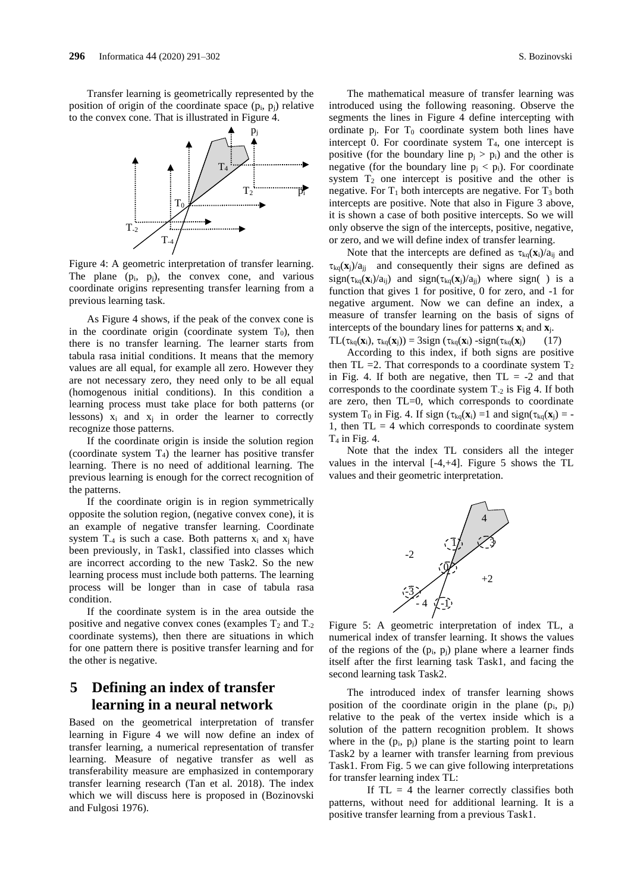Transfer learning is geometrically represented by the position of origin of the coordinate space  $(p_i, p_j)$  relative to the convex cone. That is illustrated in Figure 4.



Figure 4: A geometric interpretation of transfer learning. The plane  $(p_i, p_i)$ , the convex cone, and various coordinate origins representing transfer learning from a previous learning task.

As Figure 4 shows, if the peak of the convex cone is in the coordinate origin (coordinate system  $T_0$ ), then there is no transfer learning. The learner starts from tabula rasa initial conditions. It means that the memory values are all equal, for example all zero. However they are not necessary zero, they need only to be all equal (homogenous initial conditions). In this condition a learning process must take place for both patterns (or lessons)  $x_i$  and  $x_j$  in order the learner to correctly recognize those patterns.

If the coordinate origin is inside the solution region (coordinate system  $T_4$ ) the learner has positive transfer learning. There is no need of additional learning. The previous learning is enough for the correct recognition of the patterns.

If the coordinate origin is in region symmetrically opposite the solution region, (negative convex cone), it is an example of negative transfer learning. Coordinate system  $T_{-4}$  is such a case. Both patterns  $x_i$  and  $x_j$  have been previously, in Task1, classified into classes which are incorrect according to the new Task2. So the new learning process must include both patterns. The learning process will be longer than in case of tabula rasa condition.

If the coordinate system is in the area outside the positive and negative convex cones (examples  $T_2$  and  $T_2$ ) coordinate systems), then there are situations in which for one pattern there is positive transfer learning and for the other is negative.

# **5 Defining an index of transfer learning in a neural network**

Based on the geometrical interpretation of transfer learning in Figure 4 we will now define an index of transfer learning, a numerical representation of transfer learning. Measure of negative transfer as well as transferability measure are emphasized in contemporary transfer learning research (Tan et al. 2018). The index which we will discuss here is proposed in (Bozinovski and Fulgosi 1976).

The mathematical measure of transfer learning was introduced using the following reasoning. Observe the segments the lines in Figure 4 define intercepting with ordinate  $p_i$ . For  $T_0$  coordinate system both lines have intercept 0. For coordinate system  $T<sub>4</sub>$ , one intercept is positive (for the boundary line  $p_i > p_i$ ) and the other is negative (for the boundary line  $p_i < p_i$ ). For coordinate system  $T_2$  one intercept is positive and the other is negative. For  $T_1$  both intercepts are negative. For  $T_3$  both intercepts are positive. Note that also in Figure 3 above, it is shown a case of both positive intercepts. So we will only observe the sign of the intercepts, positive, negative, or zero, and we will define index of transfer learning.

Note that the intercepts are defined as  $\tau_{kq}(\mathbf{x}_i)/a_{ij}$  and  $\tau_{\text{kg}}(\mathbf{x}_i)/a_{ij}$  and consequently their signs are defined as  $sign(\tau_{ka}(\mathbf{x}_i)/a_{ii})$  and  $sign(\tau_{ka}(\mathbf{x}_i)/a_{ii})$  where sign() is a function that gives 1 for positive, 0 for zero, and -1 for negative argument. Now we can define an index, a measure of transfer learning on the basis of signs of intercepts of the boundary lines for patterns  $\mathbf{x}_i$  and  $\mathbf{x}_i$ .

 $TL(\tau_{kq}(\mathbf{x}_i), \tau_{kq}(\mathbf{x}_j)) = 3sign(\tau_{kq}(\mathbf{x}_i) - sign(\tau_{kq}(\mathbf{x}_j))$  (17)

According to this index, if both signs are positive then TL = 2. That corresponds to a coordinate system  $T_2$ in Fig. 4. If both are negative, then  $TL = -2$  and that corresponds to the coordinate system  $T_2$  is Fig 4. If both are zero, then TL=0, which corresponds to coordinate system T<sub>0</sub> in Fig. 4. If sign ( $\tau_{kq}(\mathbf{x}_i) = 1$  and sign( $\tau_{kq}(\mathbf{x}_i) = -1$ 1, then  $TL = 4$  which corresponds to coordinate system  $T_4$  in Fig. 4.

Note that the index TL considers all the integer values in the interval [-4,+4]. Figure 5 shows the TL values and their geometric interpretation.



Figure 5: A geometric interpretation of index TL, a numerical index of transfer learning. It shows the values of the regions of the  $(p_i, p_j)$  plane where a learner finds itself after the first learning task Task1, and facing the second learning task Task2.

The introduced index of transfer learning shows position of the coordinate origin in the plane  $(p_i, p_j)$ relative to the peak of the vertex inside which is a solution of the pattern recognition problem. It shows where in the  $(p_i, p_j)$  plane is the starting point to learn Task2 by a learner with transfer learning from previous Task1. From Fig. 5 we can give following interpretations for transfer learning index TL:

If  $TL = 4$  the learner correctly classifies both patterns, without need for additional learning. It is a positive transfer learning from a previous Task1.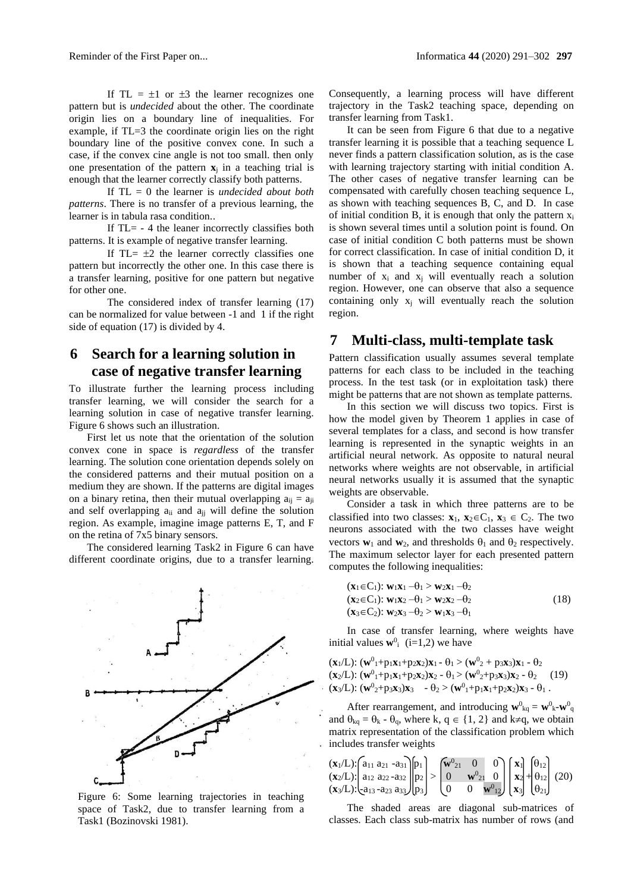If TL =  $\pm 1$  or  $\pm 3$  the learner recognizes one pattern but is *undecided* about the other. The coordinate origin lies on a boundary line of inequalities. For example, if TL=3 the coordinate origin lies on the right boundary line of the positive convex cone. In such a case, if the convex cine angle is not too small. then only one presentation of the pattern  $\mathbf{x}_j$  in a teaching trial is enough that the learner correctly classify both patterns.

If TL = 0 the learner is *undecided about both patterns*. There is no transfer of a previous learning, the learner is in tabula rasa condition..

If  $TL = -4$  the leaner incorrectly classifies both patterns. It is example of negative transfer learning.

If TL $= \pm 2$  the learner correctly classifies one pattern but incorrectly the other one. In this case there is a transfer learning, positive for one pattern but negative for other one.

The considered index of transfer learning (17) can be normalized for value between -1 and 1 if the right side of equation (17) is divided by 4.

## **6 Search for a learning solution in case of negative transfer learning**

To illustrate further the learning process including transfer learning, we will consider the search for a learning solution in case of negative transfer learning. Figure 6 shows such an illustration.

First let us note that the orientation of the solution convex cone in space is *regardless* of the transfer learning. The solution cone orientation depends solely on the considered patterns and their mutual position on a medium they are shown. If the patterns are digital images on a binary retina, then their mutual overlapping  $a_{ii} = a_{ii}$ and self overlapping  $a_{ii}$  and  $a_{jj}$  will define the solution region. As example, imagine image patterns E, T, and F on the retina of 7x5 binary sensors.

The considered learning Task2 in Figure 6 can have different coordinate origins, due to a transfer learning.



Figure 6: Some learning trajectories in teaching space of Task2, due to transfer learning from a Task1 (Bozinovski 1981).

Consequently, a learning process will have different trajectory in the Task2 teaching space, depending on transfer learning from Task1.

It can be seen from Figure 6 that due to a negative transfer learning it is possible that a teaching sequence L never finds a pattern classification solution, as is the case with learning trajectory starting with initial condition A. The other cases of negative transfer learning can be compensated with carefully chosen teaching sequence L, as shown with teaching sequences B, C, and D. In case of initial condition B, it is enough that only the pattern  $x_i$ is shown several times until a solution point is found. On case of initial condition C both patterns must be shown for correct classification. In case of initial condition D, it is shown that a teaching sequence containing equal number of  $x_i$  and  $x_i$  will eventually reach a solution region. However, one can observe that also a sequence containing only  $x_i$  will eventually reach the solution region.

### **7 Multi-class, multi-template task**

Pattern classification usually assumes several template patterns for each class to be included in the teaching process. In the test task (or in exploitation task) there might be patterns that are not shown as template patterns.

In this section we will discuss two topics. First is how the model given by Theorem 1 applies in case of several templates for a class, and second is how transfer learning is represented in the synaptic weights in an artificial neural network. As opposite to natural neural networks where weights are not observable, in artificial neural networks usually it is assumed that the synaptic weights are observable.

Consider a task in which three patterns are to be classified into two classes:  $\mathbf{x}_1, \mathbf{x}_2 \in C_1$ ,  $\mathbf{x}_3 \in C_2$ . The two neurons associated with the two classes have weight vectors  $\mathbf{w}_1$  and  $\mathbf{w}_2$ , and thresholds  $\theta_1$  and  $\theta_2$  respectively. The maximum selector layer for each presented pattern computes the following inequalities:

$$
(\mathbf{x}_1 \in C_1): \mathbf{w}_1 \mathbf{x}_1 - \theta_1 > \mathbf{w}_2 \mathbf{x}_1 - \theta_2
$$
  
\n
$$
(\mathbf{x}_2 \in C_1): \mathbf{w}_1 \mathbf{x}_2 - \theta_1 > \mathbf{w}_2 \mathbf{x}_2 - \theta_2
$$
  
\n
$$
(\mathbf{x}_3 \in C_2): \mathbf{w}_2 \mathbf{x}_3 - \theta_2 > \mathbf{w}_1 \mathbf{x}_3 - \theta_1
$$
\n(18)

In case of transfer learning, where weights have initial values  $\mathbf{w}^0$ <sub>i</sub> (i=1,2) we have

$$
(\mathbf{x}_1/L): (\mathbf{w}^0_1 + \mathbf{p}_1 \mathbf{x}_1 + \mathbf{p}_2 \mathbf{x}_2) \mathbf{x}_1 - \theta_1 > (\mathbf{w}^0_2 + \mathbf{p}_3 \mathbf{x}_3) \mathbf{x}_1 - \theta_2 (\mathbf{x}_2/L): (\mathbf{w}^0_1 + \mathbf{p}_1 \mathbf{x}_1 + \mathbf{p}_2 \mathbf{x}_2) \mathbf{x}_2 - \theta_1 > (\mathbf{w}^0_2 + \mathbf{p}_3 \mathbf{x}_3) \mathbf{x}_2 - \theta_2 (\mathbf{x}_3/L): (\mathbf{w}^0_2 + \mathbf{p}_3 \mathbf{x}_3) \mathbf{x}_3 - \theta_2 > (\mathbf{w}^0_1 + \mathbf{p}_1 \mathbf{x}_1 + \mathbf{p}_2 \mathbf{x}_2) \mathbf{x}_3 - \theta_1.
$$

After rearrangement, and introducing  $\mathbf{w}^0{}_{kq} = \mathbf{w}^0{}_{k} - \mathbf{w}^0{}_{q}$ and  $\theta_{kq} = \theta_k - \theta_q$ , where k,  $q \in \{1, 2\}$  and k $\neq q$ , we obtain matrix representation of the classification problem which includes transfer weights

$$
\begin{array}{l}\n(\mathbf{x}_1/L) \cdot \begin{bmatrix}\na_{11} & a_{21} & -a_{31} \\
a_{12} & a_{22} & -a_{32}\n\end{bmatrix}\n\begin{bmatrix}\np_1 \\
p_2 \\
p_3\n\end{bmatrix}\n\end{array}\n\ge \n\begin{bmatrix}\n\mathbf{w}^0_{21} & 0 & 0 \\
0 & \mathbf{w}^0_{21} & 0 \\
0 & 0 & \mathbf{w}^0_{12}\n\end{bmatrix}\n\begin{bmatrix}\n\mathbf{x}_1 \\
\mathbf{x}_2 \\
\mathbf{x}_3\n\end{bmatrix}\n\begin{bmatrix}\n\theta_{12} \\
\theta_{12} \\
\theta_{21}\n\end{bmatrix}
$$
\n(20)

The shaded areas are diagonal sub-matrices of classes. Each class sub-matrix has number of rows (and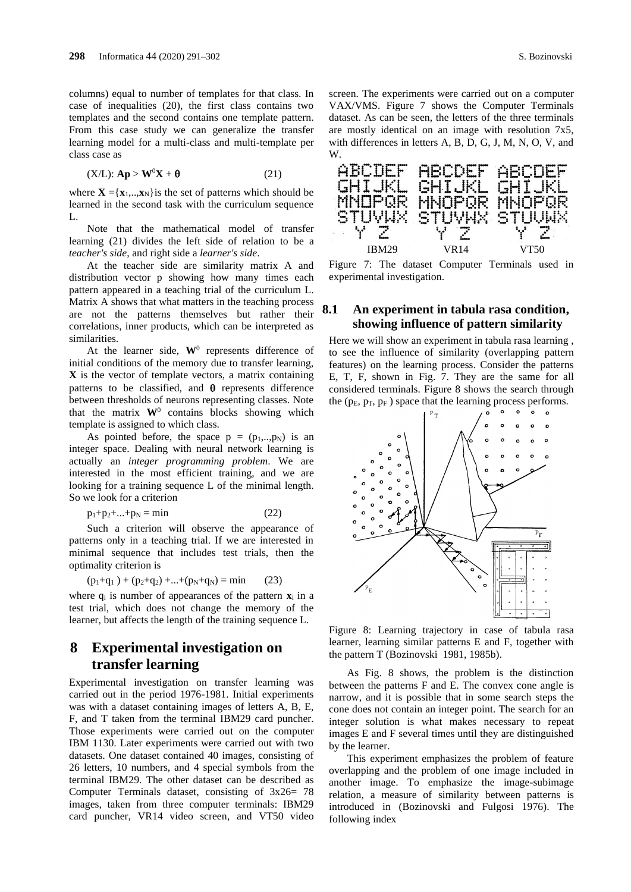columns) equal to number of templates for that class. In case of inequalities (20), the first class contains two templates and the second contains one template pattern. From this case study we can generalize the transfer learning model for a multi-class and multi-template per class case as

$$
(X/L): \mathbf{Ap} > \mathbf{W}^0 \mathbf{X} + \mathbf{\theta} \tag{21}
$$

where  $\mathbf{X} = \{x_1, \dots, x_N\}$  is the set of patterns which should be learned in the second task with the curriculum sequence  $L$ 

Note that the mathematical model of transfer learning (21) divides the left side of relation to be a *teacher's side*, and right side a *learner's side*.

At the teacher side are similarity matrix A and distribution vector p showing how many times each pattern appeared in a teaching trial of the curriculum L. Matrix A shows that what matters in the teaching process are not the patterns themselves but rather their correlations, inner products, which can be interpreted as similarities.

At the learner side,  $W^0$  represents difference of initial conditions of the memory due to transfer learning, **X** is the vector of template vectors, a matrix containing patterns to be classified, and  $\theta$  represents difference between thresholds of neurons representing classes. Note that the matrix  $W^0$  contains blocks showing which template is assigned to which class.

As pointed before, the space  $p = (p_1, \ldots, p_N)$  is an integer space. Dealing with neural network learning is actually an *integer programming problem*. We are interested in the most efficient training, and we are looking for a training sequence L of the minimal length. So we look for a criterion

$$
p_1 + p_2 + \dots + p_N = \min \tag{22}
$$

Such a criterion will observe the appearance of patterns only in a teaching trial. If we are interested in minimal sequence that includes test trials, then the optimality criterion is

$$
(p_1+q_1) + (p_2+q_2) + ... + (p_N+q_N) = \min \qquad (23)
$$

where  $q_i$  is number of appearances of the pattern  $\mathbf{x}_i$  in a test trial, which does not change the memory of the learner, but affects the length of the training sequence L.

# **8 Experimental investigation on transfer learning**

Experimental investigation on transfer learning was carried out in the period 1976-1981. Initial experiments was with a dataset containing images of letters A, B, E, F, and T taken from the terminal IBM29 card puncher. Those experiments were carried out on the computer IBM 1130. Later experiments were carried out with two datasets. One dataset contained 40 images, consisting of 26 letters, 10 numbers, and 4 special symbols from the terminal IBM29. The other dataset can be described as Computer Terminals dataset, consisting of 3x26= 78 images, taken from three computer terminals: IBM29 card puncher, VR14 video screen, and VT50 video

screen. The experiments were carried out on a computer VAX/VMS. Figure 7 shows the Computer Terminals dataset. As can be seen, the letters of the three terminals are mostly identical on an image with resolution 7x5, with differences in letters A, B, D, G, J, M, N, O, V, and W.



Figure 7: The dataset Computer Terminals used in experimental investigation.

#### **8.1 An experiment in tabula rasa condition, showing influence of pattern similarity**

Here we will show an experiment in tabula rasa learning , to see the influence of similarity (overlapping pattern features) on the learning process. Consider the patterns E, T, F, shown in Fig. 7. They are the same for all considered terminals. Figure 8 shows the search through the  $(p_E, p_T, p_F)$  space that the learning process performs.



Figure 8: Learning trajectory in case of tabula rasa learner, learning similar patterns E and F, together with the pattern T (Bozinovski 1981, 1985b).

As Fig. 8 shows, the problem is the distinction between the patterns F and E. The convex cone angle is narrow, and it is possible that in some search steps the cone does not contain an integer point. The search for an integer solution is what makes necessary to repeat images E and F several times until they are distinguished by the learner.

This experiment emphasizes the problem of feature overlapping and the problem of one image included in another image. To emphasize the image-subimage relation, a measure of similarity between patterns is introduced in (Bozinovski and Fulgosi 1976). The following index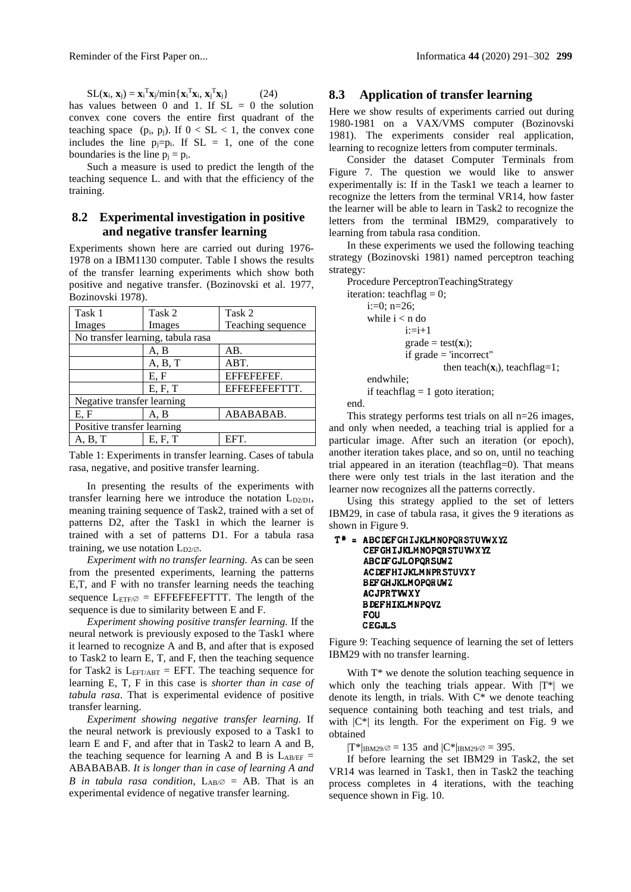$SL(\mathbf{x}_i, \mathbf{x}_j) = \mathbf{x}_i^{\mathrm{T}} \mathbf{x}_j / \min\{\mathbf{x}_i^{\mathrm{T}} \mathbf{x}_i, \mathbf{x}_j^{\mathrm{T}} \mathbf{x}_j\}$  (24)

has values between 0 and 1. If  $SL = 0$  the solution convex cone covers the entire first quadrant of the teaching space  $(p_i, p_j)$ . If  $0 < SL < 1$ , the convex cone includes the line  $p_i=p_i$ . If  $SL = 1$ , one of the cone boundaries is the line  $p_i = p_i$ .

Such a measure is used to predict the length of the teaching sequence L. and with that the efficiency of the training.

### **8.2 Experimental investigation in positive and negative transfer learning**

Experiments shown here are carried out during 1976- 1978 on a IBM1130 computer. Table I shows the results of the transfer learning experiments which show both positive and negative transfer. (Bozinovski et al. 1977, Bozinovski 1978).

| Task 1                            | Task 2  | Task 2            |
|-----------------------------------|---------|-------------------|
| Images                            | Images  | Teaching sequence |
| No transfer learning, tabula rasa |         |                   |
|                                   | A, B    | AB.               |
|                                   | A, B, T | ABT.              |
|                                   | E, F    | BEEBEER.          |
|                                   | E, F, T | EFFEFEFEFTTT.     |
| Negative transfer learning        |         |                   |
| E, F                              | A. B    | ABABABAB.         |
| Positive transfer learning        |         |                   |
| A, B, T                           | E. F. T | EFT.              |

Table 1: Experiments in transfer learning. Cases of tabula rasa, negative, and positive transfer learning.

In presenting the results of the experiments with transfer learning here we introduce the notation  $L_{D2/D1}$ , meaning training sequence of Task2, trained with a set of patterns D2, after the Task1 in which the learner is trained with a set of patterns D1. For a tabula rasa training, we use notation  $L_{D2/2}$ .

*Experiment with no transfer learning.* As can be seen from the presented experiments, learning the patterns E,T, and F with no transfer learning needs the teaching sequence  $L_{ETF\varnothing}$  = EFFEFEFEFTTT. The length of the sequence is due to similarity between E and F.

*Experiment showing positive transfer learning.* If the neural network is previously exposed to the Task1 where it learned to recognize A and B, and after that is exposed to Task2 to learn E, T, and F, then the teaching sequence for Task2 is  $L_{EFT/ABT} = EFT$ . The teaching sequence for learning E, T, F in this case is *shorter than in case of tabula rasa*. That is experimental evidence of positive transfer learning.

*Experiment showing negative transfer learning.* If the neural network is previously exposed to a Task1 to learn E and F, and after that in Task2 to learn A and B, the teaching sequence for learning A and B is  $L_{AB/EF}$  = ABABABAB. *It is longer than in case of learning A and B* in tabula rasa condition,  $L_{AB} \approx$  = AB. That is an experimental evidence of negative transfer learning.

#### **8.3 Application of transfer learning**

Here we show results of experiments carried out during 1980-1981 on a VAX/VMS computer (Bozinovski 1981). The experiments consider real application, learning to recognize letters from computer terminals.

Consider the dataset Computer Terminals from Figure 7. The question we would like to answer experimentally is: If in the Task1 we teach a learner to recognize the letters from the terminal VR14, how faster the learner will be able to learn in Task2 to recognize the letters from the terminal IBM29, comparatively to learning from tabula rasa condition.

In these experiments we used the following teaching strategy (Bozinovski 1981) named perceptron teaching strategy:

Procedure PerceptronTeachingStrategy

iteration: teachflag  $= 0$ ;  $i:=0; n=26;$ while  $i < n$  do  $i:=i+1$  $grade = test(**x**<sub>i</sub>)$ ; if grade = 'incorrect" then teach(**x**i), teachflag=1; endwhile;

if teachflag  $= 1$  goto iteration:

end.

This strategy performs test trials on all n=26 images, and only when needed, a teaching trial is applied for a particular image. After such an iteration (or epoch), another iteration takes place, and so on, until no teaching trial appeared in an iteration (teachflag=0). That means there were only test trials in the last iteration and the learner now recognizes all the patterns correctly.

Using this strategy applied to the set of letters IBM29, in case of tabula rasa, it gives the 9 iterations as shown in Figure 9.

```
T^* = ABCDEFGHIJKLMNOPQRSTUWXYZ
     CEF GHIJKLMNOPQR STUWXYZ
     ABCDFGJLOPQRSUWZ
     ACDEFHIJKLMNPRSTUVXY
     BEF GH JKLM OPQR UWZ
     ACJPRTWXY
     BDEFHIKLMNPQVZ
     FOU
     CEGJLS
```
Figure 9: Teaching sequence of learning the set of letters IBM29 with no transfer learning.

With  $T^*$  we denote the solution teaching sequence in which only the teaching trials appear. With  $|T^*|$  we denote its length, in trials. With C\* we denote teaching sequence containing both teaching and test trials, and with  $|C^*|$  its length. For the experiment on Fig. 9 we obtained

 $|T^*|_{\text{IBM29}/\varnothing} = 135$  and  $|C^*|_{\text{IBM29}/\varnothing} = 395$ .

If before learning the set IBM29 in Task2, the set VR14 was learned in Task1, then in Task2 the teaching process completes in 4 iterations, with the teaching sequence shown in Fig. 10.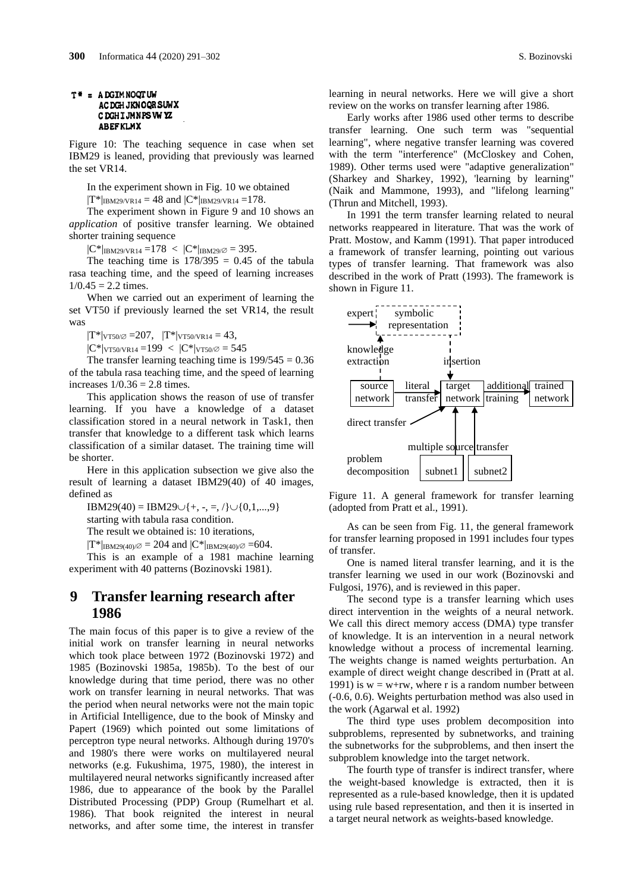#### T = ADGIMNOQTUW **ACDGHJKNOORSUWX** C DGHIJMNPS VW YZ **ABEFKLMX**

Figure 10: The teaching sequence in case when set IBM29 is leaned, providing that previously was learned the set VR14.

In the experiment shown in Fig. 10 we obtained

 $|T^*|_{\text{IBM29/VR14}} = 48$  and  $|C^*|_{\text{IBM29/VR14}} = 178$ .

The experiment shown in Figure 9 and 10 shows an *application* of positive transfer learning. We obtained shorter training sequence

 $|C^*|_{\text{IBM29/VR14}} = 178 < |C^*|_{\text{IBM29}/\varnothing} = 395.$ 

The teaching time is  $178/395 = 0.45$  of the tabula rasa teaching time, and the speed of learning increases  $1/0.45 = 2.2$  times.

When we carried out an experiment of learning the set VT50 if previously learned the set VR14, the result was

 $|T^*|_{VT50\sqrt{2}} = 207$ ,  $|T^*|_{VT50\sqrt{14}} = 43$ ,

 $|C^*|_{VT50/VR14} = 199 < |C^*|_{VT50/$\varnothing$} = 545$ 

The transfer learning teaching time is  $199/545 = 0.36$ of the tabula rasa teaching time, and the speed of learning increases  $1/0.36 = 2.8$  times.

This application shows the reason of use of transfer learning. If you have a knowledge of a dataset classification stored in a neural network in Task1, then transfer that knowledge to a different task which learns classification of a similar dataset. The training time will be shorter.

Here in this application subsection we give also the result of learning a dataset IBM29(40) of 40 images, defined as

 $IBM29(40) = IBM29\cup\{+, -, =, /\}\cup\{0,1,...,9\}$ 

starting with tabula rasa condition.

The result we obtained is: 10 iterations,

 $|T^*|_{\text{IBM29(40)}/\varnothing} = 204$  and  $|C^*|_{\text{IBM29(40)}/\varnothing} = 604$ .

This is an example of a 1981 machine learning experiment with 40 patterns (Bozinovski 1981).

### **9 Transfer learning research after 1986**

The main focus of this paper is to give a review of the initial work on transfer learning in neural networks which took place between 1972 (Bozinovski 1972) and 1985 (Bozinovski 1985a, 1985b). To the best of our knowledge during that time period, there was no other work on transfer learning in neural networks. That was the period when neural networks were not the main topic in Artificial Intelligence, due to the book of Minsky and Papert (1969) which pointed out some limitations of perceptron type neural networks. Although during 1970's and 1980's there were works on multilayered neural networks (e.g. Fukushima, 1975, 1980), the interest in multilayered neural networks significantly increased after 1986, due to appearance of the book by the Parallel Distributed Processing (PDP) Group (Rumelhart et al. 1986). That book reignited the interest in neural networks, and after some time, the interest in transfer

learning in neural networks. Here we will give a short review on the works on transfer learning after 1986.

Early works after 1986 used other terms to describe transfer learning. One such term was "sequential learning", where negative transfer learning was covered with the term "interference" (McCloskey and Cohen, 1989). Other terms used were "adaptive generalization" (Sharkey and Sharkey, 1992), 'learning by learning" (Naik and Mammone, 1993), and "lifelong learning" (Thrun and Mitchell, 1993).

In 1991 the term transfer learning related to neural networks reappeared in literature. That was the work of Pratt. Mostow, and Kamm (1991). That paper introduced a framework of transfer learning, pointing out various types of transfer learning. That framework was also described in the work of Pratt (1993). The framework is shown in Figure 11.



Figure 11. A general framework for transfer learning (adopted from Pratt et al., 1991).

As can be seen from Fig. 11, the general framework for transfer learning proposed in 1991 includes four types of transfer.

One is named literal transfer learning, and it is the transfer learning we used in our work (Bozinovski and Fulgosi, 1976), and is reviewed in this paper.

The second type is a transfer learning which uses direct intervention in the weights of a neural network. We call this direct memory access (DMA) type transfer of knowledge. It is an intervention in a neural network knowledge without a process of incremental learning. The weights change is named weights perturbation. An example of direct weight change described in (Pratt at al. 1991) is  $w = w+rw$ , where r is a random number between (-0.6, 0.6). Weights perturbation method was also used in the work (Agarwal et al. 1992)

The third type uses problem decomposition into subproblems, represented by subnetworks, and training the subnetworks for the subproblems, and then insert the subproblem knowledge into the target network.

The fourth type of transfer is indirect transfer, where the weight-based knowledge is extracted, then it is represented as a rule-based knowledge, then it is updated using rule based representation, and then it is inserted in a target neural network as weights-based knowledge.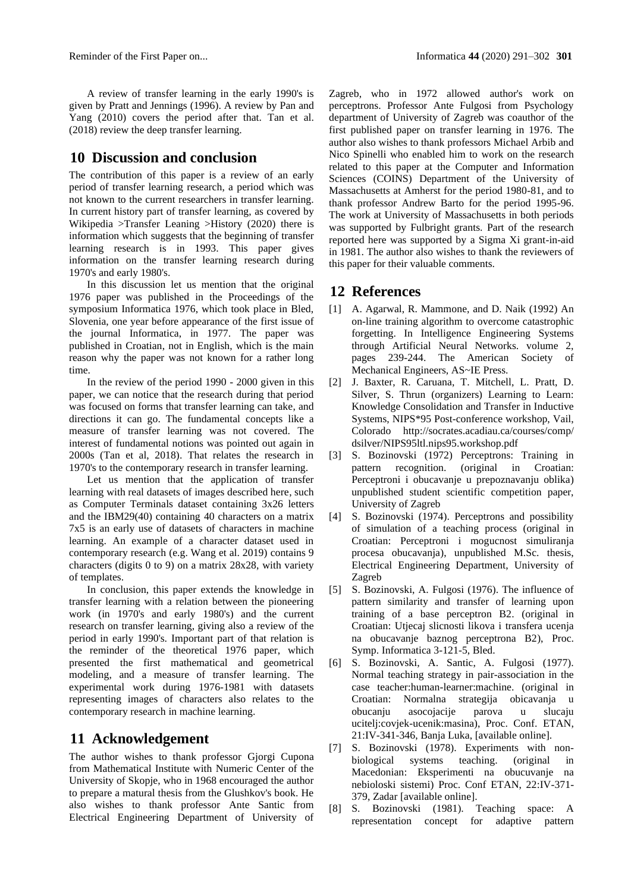A review of transfer learning in the early 1990's is given by Pratt and Jennings (1996). A review by Pan and Yang (2010) covers the period after that. Tan et al. (2018) review the deep transfer learning.

### **10 Discussion and conclusion**

The contribution of this paper is a review of an early period of transfer learning research, a period which was not known to the current researchers in transfer learning. In current history part of transfer learning, as covered by Wikipedia >Transfer Leaning >History (2020) there is information which suggests that the beginning of transfer learning research is in 1993. This paper gives information on the transfer learning research during 1970's and early 1980's.

In this discussion let us mention that the original 1976 paper was published in the Proceedings of the symposium Informatica 1976, which took place in Bled, Slovenia, one year before appearance of the first issue of the journal Informatica, in 1977. The paper was published in Croatian, not in English, which is the main reason why the paper was not known for a rather long time.

In the review of the period 1990 - 2000 given in this paper, we can notice that the research during that period was focused on forms that transfer learning can take, and directions it can go. The fundamental concepts like a measure of transfer learning was not covered. The interest of fundamental notions was pointed out again in 2000s (Tan et al, 2018). That relates the research in 1970's to the contemporary research in transfer learning.

Let us mention that the application of transfer learning with real datasets of images described here, such as Computer Terminals dataset containing 3x26 letters and the IBM29(40) containing 40 characters on a matrix 7x5 is an early use of datasets of characters in machine learning. An example of a character dataset used in contemporary research (e.g. Wang et al. 2019) contains 9 characters (digits 0 to 9) on a matrix 28x28, with variety of templates.

In conclusion, this paper extends the knowledge in transfer learning with a relation between the pioneering work (in 1970's and early 1980's) and the current research on transfer learning, giving also a review of the period in early 1990's. Important part of that relation is the reminder of the theoretical 1976 paper, which presented the first mathematical and geometrical modeling, and a measure of transfer learning. The experimental work during 1976-1981 with datasets representing images of characters also relates to the contemporary research in machine learning.

### **11 Acknowledgement**

The author wishes to thank professor Gjorgi Cupona from Mathematical Institute with Numeric Center of the University of Skopje, who in 1968 encouraged the author to prepare a matural thesis from the Glushkov's book. He also wishes to thank professor Ante Santic from Electrical Engineering Department of University of

Zagreb, who in 1972 allowed author's work on perceptrons. Professor Ante Fulgosi from Psychology department of University of Zagreb was coauthor of the first published paper on transfer learning in 1976. The author also wishes to thank professors Michael Arbib and Nico Spinelli who enabled him to work on the research related to this paper at the Computer and Information Sciences (COINS) Department of the University of Massachusetts at Amherst for the period 1980-81, and to thank professor Andrew Barto for the period 1995-96. The work at University of Massachusetts in both periods was supported by Fulbright grants. Part of the research reported here was supported by a Sigma Xi grant-in-aid in 1981. The author also wishes to thank the reviewers of this paper for their valuable comments.

# **12 References**

- [1] A. Agarwal, R. Mammone, and D. Naik (1992) An on-line training algorithm to overcome catastrophic forgetting. In Intelligence Engineering Systems through Artificial Neural Networks. volume 2, pages 239-244. The American Society of Mechanical Engineers, AS~IE Press.
- [2] J. Baxter, R. Caruana, T. Mitchell, L. Pratt, D. Silver, S. Thrun (organizers) Learning to Learn: Knowledge Consolidation and Transfer in Inductive Systems, NIPS\*95 Post-conference workshop, Vail, Colorado http://socrates.acadiau.ca/courses/comp/ dsilver/NIPS95ltl.nips95.workshop.pdf
- [3] S. Bozinovski (1972) Perceptrons: Training in pattern recognition. (original in Croatian: Perceptroni i obucavanje u prepoznavanju oblika) unpublished student scientific competition paper, University of Zagreb
- [4] S. Bozinovski (1974). Perceptrons and possibility of simulation of a teaching process (original in Croatian: Perceptroni i mogucnost simuliranja procesa obucavanja), unpublished M.Sc. thesis, Electrical Engineering Department, University of Zagreb
- [5] S. Bozinovski, A. Fulgosi (1976). The influence of pattern similarity and transfer of learning upon training of a base perceptron B2. (original in Croatian: Utjecaj slicnosti likova i transfera ucenja na obucavanje baznog perceptrona B2), Proc. Symp. Informatica 3-121-5, Bled.
- [6] S. Bozinovski, A. Santic, A. Fulgosi (1977). Normal teaching strategy in pair-association in the case teacher:human-learner:machine. (original in Croatian: Normalna strategija obicavanja u obucanju asocojacije parova u slucaju ucitelj:covjek-ucenik:masina), Proc. Conf. ETAN, 21:IV-341-346, Banja Luka, [available online].
- [7] S. Bozinovski (1978). Experiments with nonbiological systems teaching. (original in Macedonian: Eksperimenti na obucuvanje na nebioloski sistemi) Proc. Conf ETAN, 22:IV-371- 379, Zadar [available online].
- [8] S. Bozinovski (1981). Teaching space: A representation concept for adaptive pattern